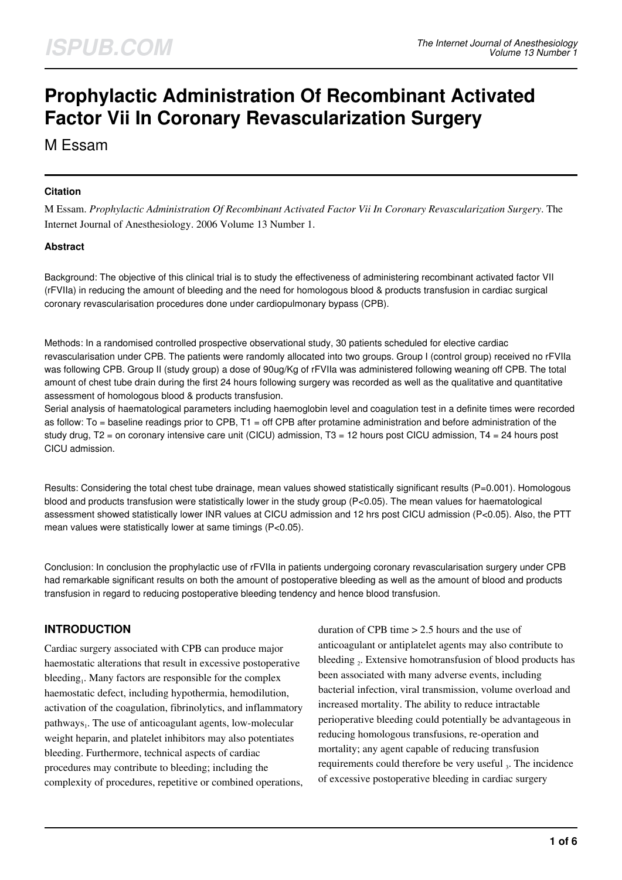# **Prophylactic Administration Of Recombinant Activated Factor Vii In Coronary Revascularization Surgery**

M Essam

#### **Citation**

M Essam. *Prophylactic Administration Of Recombinant Activated Factor Vii In Coronary Revascularization Surgery*. The Internet Journal of Anesthesiology. 2006 Volume 13 Number 1.

#### **Abstract**

Background: The objective of this clinical trial is to study the effectiveness of administering recombinant activated factor VII (rFVIIa) in reducing the amount of bleeding and the need for homologous blood & products transfusion in cardiac surgical coronary revascularisation procedures done under cardiopulmonary bypass (CPB).

Methods: In a randomised controlled prospective observational study, 30 patients scheduled for elective cardiac revascularisation under CPB. The patients were randomly allocated into two groups. Group I (control group) received no rFVIIa was following CPB. Group II (study group) a dose of 90ug/Kg of rFVIIa was administered following weaning off CPB. The total amount of chest tube drain during the first 24 hours following surgery was recorded as well as the qualitative and quantitative assessment of homologous blood & products transfusion.

Serial analysis of haematological parameters including haemoglobin level and coagulation test in a definite times were recorded as follow: To = baseline readings prior to CPB, T1 = off CPB after protamine administration and before administration of the study drug, T2 = on coronary intensive care unit (CICU) admission, T3 = 12 hours post CICU admission, T4 = 24 hours post CICU admission.

Results: Considering the total chest tube drainage, mean values showed statistically significant results (P=0.001). Homologous blood and products transfusion were statistically lower in the study group (P<0.05). The mean values for haematological assessment showed statistically lower INR values at CICU admission and 12 hrs post CICU admission (P<0.05). Also, the PTT mean values were statistically lower at same timings (P<0.05).

Conclusion: In conclusion the prophylactic use of rFVIIa in patients undergoing coronary revascularisation surgery under CPB had remarkable significant results on both the amount of postoperative bleeding as well as the amount of blood and products transfusion in regard to reducing postoperative bleeding tendency and hence blood transfusion.

# **INTRODUCTION**

Cardiac surgery associated with CPB can produce major haemostatic alterations that result in excessive postoperative bleeding<sub>1</sub>. Many factors are responsible for the complex haemostatic defect, including hypothermia, hemodilution, activation of the coagulation, fibrinolytics, and inflammatory pathways<sub>1</sub>. The use of anticoagulant agents, low-molecular weight heparin, and platelet inhibitors may also potentiates bleeding. Furthermore, technical aspects of cardiac procedures may contribute to bleeding; including the complexity of procedures, repetitive or combined operations, duration of CPB time > 2.5 hours and the use of anticoagulant or antiplatelet agents may also contribute to bleeding 2. Extensive homotransfusion of blood products has been associated with many adverse events, including bacterial infection, viral transmission, volume overload and increased mortality. The ability to reduce intractable perioperative bleeding could potentially be advantageous in reducing homologous transfusions, re-operation and mortality; any agent capable of reducing transfusion requirements could therefore be very useful  $_3$ . The incidence of excessive postoperative bleeding in cardiac surgery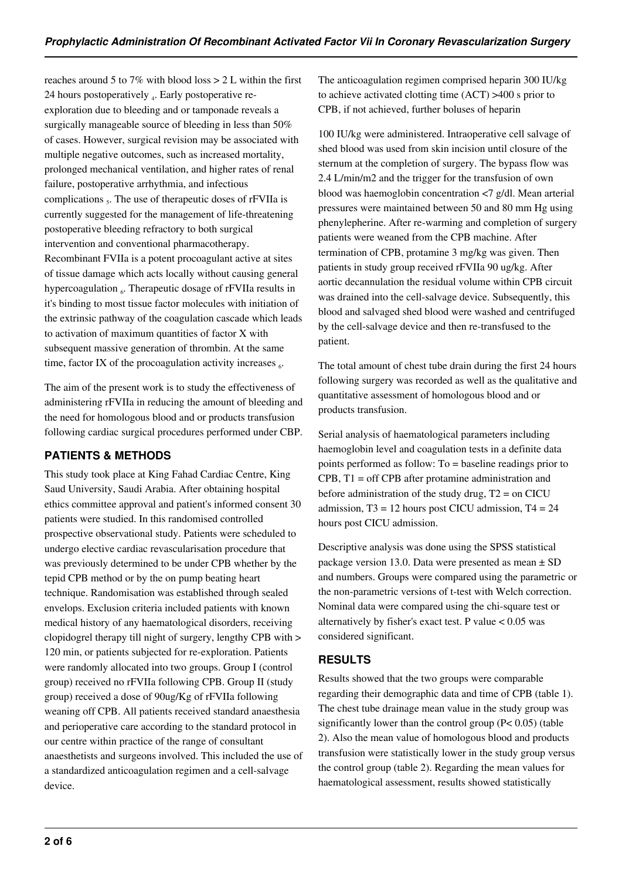reaches around 5 to 7% with blood loss > 2 L within the first 24 hours postoperatively <sub>4</sub>. Early postoperative reexploration due to bleeding and or tamponade reveals a surgically manageable source of bleeding in less than 50% of cases. However, surgical revision may be associated with multiple negative outcomes, such as increased mortality, prolonged mechanical ventilation, and higher rates of renal failure, postoperative arrhythmia, and infectious complications  $<sub>5</sub>$ . The use of therapeutic doses of rFVIIa is</sub> currently suggested for the management of life-threatening postoperative bleeding refractory to both surgical intervention and conventional pharmacotherapy. Recombinant FVIIa is a potent procoagulant active at sites of tissue damage which acts locally without causing general hypercoagulation 6. Therapeutic dosage of rFVIIa results in it's binding to most tissue factor molecules with initiation of the extrinsic pathway of the coagulation cascade which leads to activation of maximum quantities of factor X with subsequent massive generation of thrombin. At the same time, factor IX of the procoagulation activity increases  $_6$ .

The aim of the present work is to study the effectiveness of administering rFVIIa in reducing the amount of bleeding and the need for homologous blood and or products transfusion following cardiac surgical procedures performed under CBP.

# **PATIENTS & METHODS**

This study took place at King Fahad Cardiac Centre, King Saud University, Saudi Arabia. After obtaining hospital ethics committee approval and patient's informed consent 30 patients were studied. In this randomised controlled prospective observational study. Patients were scheduled to undergo elective cardiac revascularisation procedure that was previously determined to be under CPB whether by the tepid CPB method or by the on pump beating heart technique. Randomisation was established through sealed envelops. Exclusion criteria included patients with known medical history of any haematological disorders, receiving clopidogrel therapy till night of surgery, lengthy CPB with > 120 min, or patients subjected for re-exploration. Patients were randomly allocated into two groups. Group I (control group) received no rFVIIa following CPB. Group II (study group) received a dose of 90ug/Kg of rFVIIa following weaning off CPB. All patients received standard anaesthesia and perioperative care according to the standard protocol in our centre within practice of the range of consultant anaesthetists and surgeons involved. This included the use of a standardized anticoagulation regimen and a cell-salvage device.

The anticoagulation regimen comprised heparin 300 IU/kg to achieve activated clotting time (ACT) >400 s prior to CPB, if not achieved, further boluses of heparin

100 IU/kg were administered. Intraoperative cell salvage of shed blood was used from skin incision until closure of the sternum at the completion of surgery. The bypass flow was 2.4 L/min/m2 and the trigger for the transfusion of own blood was haemoglobin concentration <7 g/dl. Mean arterial pressures were maintained between 50 and 80 mm Hg using phenylepherine. After re-warming and completion of surgery patients were weaned from the CPB machine. After termination of CPB, protamine 3 mg/kg was given. Then patients in study group received rFVIIa 90 ug/kg. After aortic decannulation the residual volume within CPB circuit was drained into the cell-salvage device. Subsequently, this blood and salvaged shed blood were washed and centrifuged by the cell-salvage device and then re-transfused to the patient.

The total amount of chest tube drain during the first 24 hours following surgery was recorded as well as the qualitative and quantitative assessment of homologous blood and or products transfusion.

Serial analysis of haematological parameters including haemoglobin level and coagulation tests in a definite data points performed as follow: To = baseline readings prior to CPB, T1 = off CPB after protamine administration and before administration of the study drug,  $T2 =$  on CICU admission,  $T3 = 12$  hours post CICU admission,  $T4 = 24$ hours post CICU admission.

Descriptive analysis was done using the SPSS statistical package version 13.0. Data were presented as mean  $\pm$  SD and numbers. Groups were compared using the parametric or the non-parametric versions of t-test with Welch correction. Nominal data were compared using the chi-square test or alternatively by fisher's exact test. P value  $< 0.05$  was considered significant.

# **RESULTS**

Results showed that the two groups were comparable regarding their demographic data and time of CPB (table 1). The chest tube drainage mean value in the study group was significantly lower than the control group (P< 0.05) (table 2). Also the mean value of homologous blood and products transfusion were statistically lower in the study group versus the control group (table 2). Regarding the mean values for haematological assessment, results showed statistically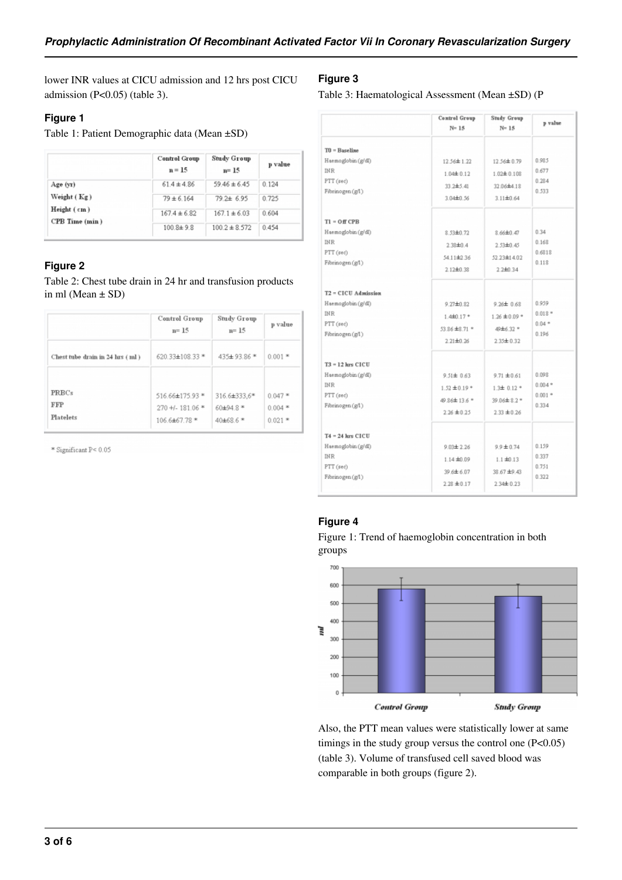lower INR values at CICU admission and 12 hrs post CICU admission (P<0.05) (table 3).

## **Figure 1**

Table 1: Patient Demographic data (Mean ±SD)

|                                                          | <b>Control Group</b><br>$n = 15$ | Study Group<br>$n = 15$ | p value |
|----------------------------------------------------------|----------------------------------|-------------------------|---------|
| Age (yr)<br>Weight (Kg)<br>Height (cm)<br>CPB Time (min) | $61.4 \pm 4.86$                  | $59.46 \pm 6.45$        | 0.124   |
|                                                          | $79 \pm 6.164$                   | $79.2 \pm 6.95$         | 0.725   |
|                                                          | $167.4 \pm 6.82$                 | $167.1 \pm 6.03$        | 0.604   |
|                                                          | $100.8 + 9.8$                    | $100.2 \pm 8.572$       | 0.454   |

## **Figure 2**

Table 2: Chest tube drain in 24 hr and transfusion products in ml (Mean  $\pm$  SD)

|                                         | Control Group<br>$n = 15$           | Study Group<br>$n = 15$  | p value               |
|-----------------------------------------|-------------------------------------|--------------------------|-----------------------|
| Chest tube drain in 24 lus (ml)         | 620.33±108.33 *                     | 435±93.86 *              | $0.001$ *             |
| <b>PRBCs</b><br><b>FFP</b><br>Platelets | 516.66±175.93 *                     | 316.6±333,6*             | $0.047*$              |
|                                         | $270 + 1.181.06$ *<br>106.6±67.78 * | $60\pm94.8*$<br>40±68.6* | $0.004*$<br>$0.021$ * |

\* Significant P< 0.05

## **Figure 3**

Table 3: Haematological Assessment (Mean ±SD) (P

|                     | Control Group<br>$N=15$ | <b>Study Group</b><br>$N=15$       | p value   |
|---------------------|-------------------------|------------------------------------|-----------|
| $T0 =$ Baseline     |                         |                                    |           |
| Haemoglobin (g/dl)  | 12.56±1.22              | 12.56 ± 0.79                       | 0.985     |
| <b>INR</b>          | 1.04±0.12               | $1.02 \pm 0.108$                   | 0.677     |
| PTT (sec)           | 33 2±5.41               | 32.06±4.18                         | 0.284     |
| Fibrinogen (g/l)    | 3.04±0.56               | $3.11 \pm 0.64$                    | 0.533     |
| $T1 = Off$ CPB      |                         |                                    |           |
| Haemoglobin (g/dl)  | 8.53±0.72               | 8.66±0.47                          | 0.34      |
| <b>INR</b>          | 2.38±0.4                | 2.53±0.45                          | 0.168     |
| PTT (sec)           | 54.11±2.36              | 52.23±14.02                        | 0.6818    |
| Fibrinogen (g/l)    | $2.12 \pm 0.38$         | 2.2±0.34                           | 0.118     |
| T2 = CICU Admission |                         |                                    |           |
| Haemoglobin (g/dl)  | $9.27 \pm 0.82$         | $9.26 \pm 0.68$                    | 0.959     |
| <b>INR</b>          | $1.4 + 0.17 +$          | $1.26 \pm 0.09$ *                  | $0.018*$  |
| PTT (sec)           | 53.86 ±8.71 *           | 49±6.32 *                          | $0.04$ *  |
| Fibrinogen (g/l)    | $2.21 \pm 0.26$         | $2.35 \pm 0.32$                    | 0.196     |
| $T3 = 12$ kes CICU  |                         |                                    |           |
| Haemoglobin (g/dl)  |                         | $9.51 \pm 0.63$<br>$9.71 \pm 0.61$ | 0.098     |
| <b>INR</b>          | $1.52 \pm 0.19$ *       | $1.3\pm 0.12$ *                    | $0.004*$  |
| PTT (sec)           |                         | 39 06 ± 2.2 *                      | $0.001$ * |
| Fibrinogen (g/l)    | 49 86±13.6 *            |                                    | 0.334     |
|                     | $2.26 \pm 0.25$         | $2.33 \pm 0.26$                    |           |
| $T4 = 24$ lars CICU |                         |                                    |           |
| Haemoglobin (g/dl)  | $9.03 \pm 2.26$         | $9.9 \pm 0.74$                     | 0.159     |
| <b>INR</b>          | $1.14 \pm 0.09$         | $1.1 + 0.13$                       | 0.337     |
| PTT (sec)           | 39.6±6.07               | 38.67 ± 9.43                       | 0.751     |
| Fibrinogen (g/l)    | $2.28 \pm 0.17$         | $2.34 \pm 0.23$                    | 0.322     |

## **Figure 4**

Figure 1: Trend of haemoglobin concentration in both groups



Also, the PTT mean values were statistically lower at same timings in the study group versus the control one (P<0.05) (table 3). Volume of transfused cell saved blood was comparable in both groups (figure 2).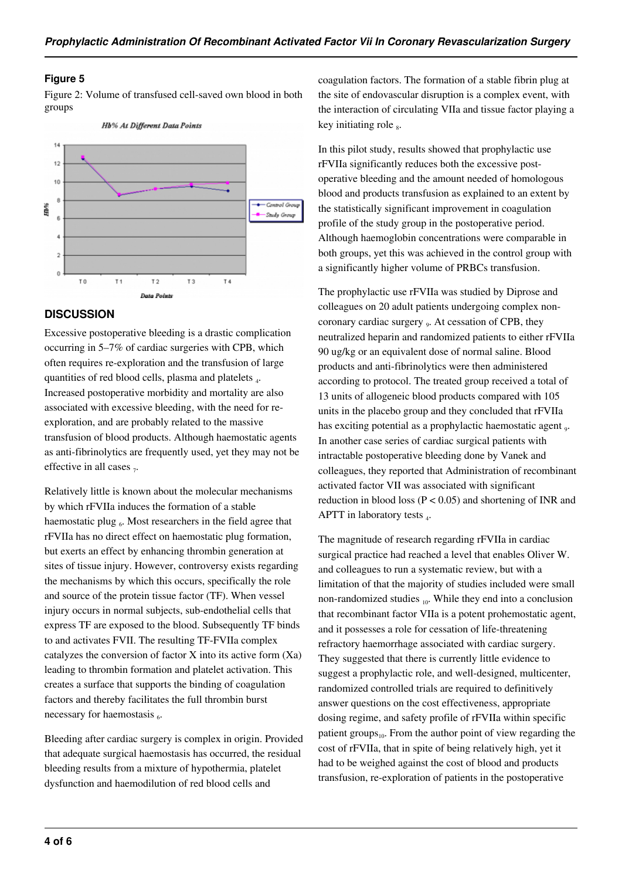#### **Figure 5**

Figure 2: Volume of transfused cell-saved own blood in both groups



## **DISCUSSION**

Excessive postoperative bleeding is a drastic complication occurring in 5–7% of cardiac surgeries with CPB, which often requires re-exploration and the transfusion of large quantities of red blood cells, plasma and platelets <sub>4</sub>. Increased postoperative morbidity and mortality are also associated with excessive bleeding, with the need for reexploration, and are probably related to the massive transfusion of blood products. Although haemostatic agents as anti-fibrinolytics are frequently used, yet they may not be effective in all cases  $_7$ .

Relatively little is known about the molecular mechanisms by which rFVIIa induces the formation of a stable haemostatic plug  $_6$ . Most researchers in the field agree that rFVIIa has no direct effect on haemostatic plug formation, but exerts an effect by enhancing thrombin generation at sites of tissue injury. However, controversy exists regarding the mechanisms by which this occurs, specifically the role and source of the protein tissue factor (TF). When vessel injury occurs in normal subjects, sub-endothelial cells that express TF are exposed to the blood. Subsequently TF binds to and activates FVII. The resulting TF-FVIIa complex catalyzes the conversion of factor X into its active form (Xa) leading to thrombin formation and platelet activation. This creates a surface that supports the binding of coagulation factors and thereby facilitates the full thrombin burst necessary for haemostasis 6.

Bleeding after cardiac surgery is complex in origin. Provided that adequate surgical haemostasis has occurred, the residual bleeding results from a mixture of hypothermia, platelet dysfunction and haemodilution of red blood cells and

coagulation factors. The formation of a stable fibrin plug at the site of endovascular disruption is a complex event, with the interaction of circulating VIIa and tissue factor playing a key initiating role  $_8$ .

In this pilot study, results showed that prophylactic use rFVIIa significantly reduces both the excessive postoperative bleeding and the amount needed of homologous blood and products transfusion as explained to an extent by the statistically significant improvement in coagulation profile of the study group in the postoperative period. Although haemoglobin concentrations were comparable in both groups, yet this was achieved in the control group with a significantly higher volume of PRBCs transfusion.

The prophylactic use rFVIIa was studied by Diprose and colleagues on 20 adult patients undergoing complex noncoronary cardiac surgery 9. At cessation of CPB, they neutralized heparin and randomized patients to either rFVIIa 90 ug/kg or an equivalent dose of normal saline. Blood products and anti-fibrinolytics were then administered according to protocol. The treated group received a total of 13 units of allogeneic blood products compared with 105 units in the placebo group and they concluded that rFVIIa has exciting potential as a prophylactic haemostatic agent 9. In another case series of cardiac surgical patients with intractable postoperative bleeding done by Vanek and colleagues, they reported that Administration of recombinant activated factor VII was associated with significant reduction in blood loss ( $P < 0.05$ ) and shortening of INR and APTT in laboratory tests  $_4$ .

The magnitude of research regarding rFVIIa in cardiac surgical practice had reached a level that enables Oliver W. and colleagues to run a systematic review, but with a limitation of that the majority of studies included were small non-randomized studies 10. While they end into a conclusion that recombinant factor VIIa is a potent prohemostatic agent, and it possesses a role for cessation of life-threatening refractory haemorrhage associated with cardiac surgery. They suggested that there is currently little evidence to suggest a prophylactic role, and well-designed, multicenter, randomized controlled trials are required to definitively answer questions on the cost effectiveness, appropriate dosing regime, and safety profile of rFVIIa within specific patient groups $_{10}$ . From the author point of view regarding the cost of rFVIIa, that in spite of being relatively high, yet it had to be weighed against the cost of blood and products transfusion, re-exploration of patients in the postoperative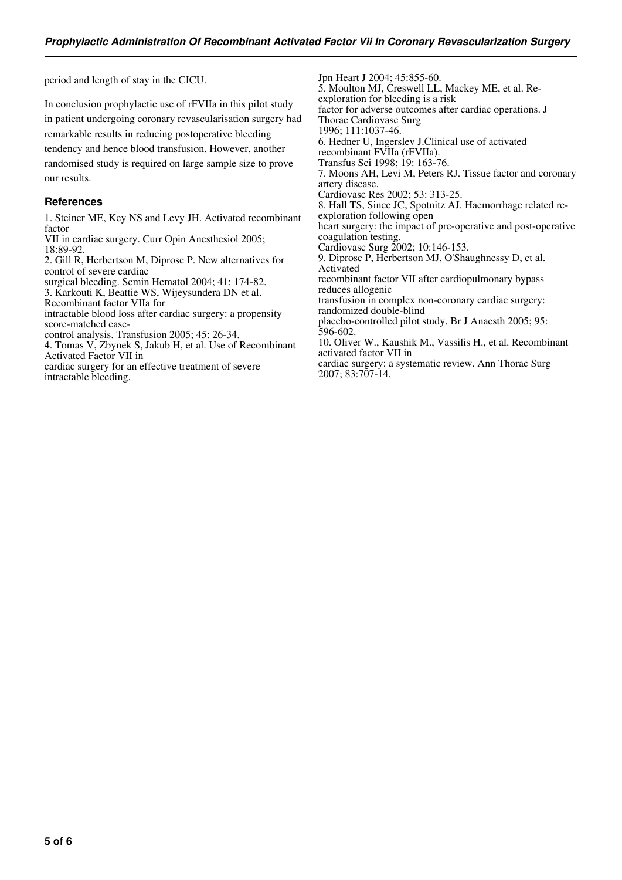period and length of stay in the CICU.

In conclusion prophylactic use of rFVIIa in this pilot study in patient undergoing coronary revascularisation surgery had remarkable results in reducing postoperative bleeding tendency and hence blood transfusion. However, another randomised study is required on large sample size to prove our results.

#### **References**

1. Steiner ME, Key NS and Levy JH. Activated recombinant factor

VII in cardiac surgery. Curr Opin Anesthesiol 2005; 18:89-92.

2. Gill R, Herbertson M, Diprose P. New alternatives for control of severe cardiac

surgical bleeding. Semin Hematol 2004; 41: 174-82.

3. Karkouti K, Beattie WS, Wijeysundera DN et al.

Recombinant factor VIIa for

intractable blood loss after cardiac surgery: a propensity score-matched case-

control analysis. Transfusion 2005; 45: 26-34.

4. Tomas V, Zbynek S, Jakub H, et al. Use of Recombinant Activated Factor VII in

cardiac surgery for an effective treatment of severe intractable bleeding.

Jpn Heart J 2004; 45:855-60. 5. Moulton MJ, Creswell LL, Mackey ME, et al. Reexploration for bleeding is a risk factor for adverse outcomes after cardiac operations. J Thorac Cardiovasc Surg 1996; 111:1037-46. 6. Hedner U, Ingerslev J.Clinical use of activated recombinant FVIIa (rFVIIa). Transfus Sci 1998; 19: 163-76. 7. Moons AH, Levi M, Peters RJ. Tissue factor and coronary artery disease. Cardiovasc Res 2002; 53: 313-25. 8. Hall TS, Since JC, Spotnitz AJ. Haemorrhage related reexploration following open heart surgery: the impact of pre-operative and post-operative coagulation testing. Cardiovasc Surg 2002; 10:146-153. 9. Diprose P, Herbertson MJ, O'Shaughnessy D, et al. Activated recombinant factor VII after cardiopulmonary bypass reduces allogenic transfusion in complex non-coronary cardiac surgery: randomized double-blind placebo-controlled pilot study. Br J Anaesth 2005; 95: 596-602. 10. Oliver W., Kaushik M., Vassilis H., et al. Recombinant activated factor VII in cardiac surgery: a systematic review. Ann Thorac Surg

2007; 83:707-14.